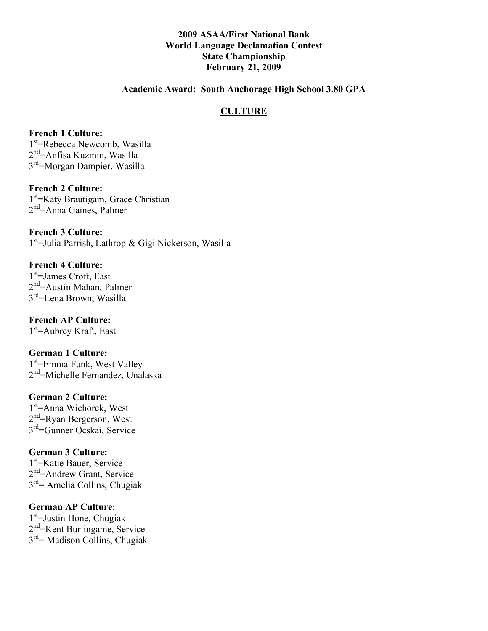## **2009 ASAA/First National Bank World Language Declamation Contest State Championship February 21, 2009**

#### **Academic Award: South Anchorage High School 3.80 GPA**

## **CULTURE**

#### **French 1 Culture:**

1<sup>st</sup>=Rebecca Newcomb, Wasilla 2<sup>nd</sup>=Anfisa Kuzmin, Wasilla 3rd=Morgan Dampier, Wasilla

## **French 2 Culture:**

1<sup>st</sup>=Katy Brautigam, Grace Christian 2<sup>nd</sup>=Anna Gaines, Palmer

**French 3 Culture:** 1<sup>st</sup>=Julia Parrish, Lathrop & Gigi Nickerson, Wasilla

#### **French 4 Culture:** 1<sup>st</sup>=James Croft, East 2<sup>nd</sup>=Austin Mahan, Palmer 3<sup>rd</sup>=Lena Brown, Wasilla

# **French AP Culture:**

1<sup>st</sup>=Aubrey Kraft, East

#### **German 1 Culture:**

1<sup>st</sup>=Emma Funk, West Valley 2<sup>nd</sup>=Michelle Fernandez, Unalaska

#### **German 2 Culture:**

1<sup>st</sup>=Anna Wichorek, West 2<sup>nd</sup>=Ryan Bergerson, West 3rd=Gunner Ocskai, Service

#### **German 3 Culture:**

1st =Katie Bauer, Service 2<sup>nd</sup>=Andrew Grant, Service  $3<sup>rd</sup>$  = Amelia Collins, Chugiak

#### **German AP Culture:**

1<sup>st</sup>=Justin Hone, Chugiak 2<sup>nd</sup>=Kent Burlingame, Service 3rd= Madison Collins, Chugiak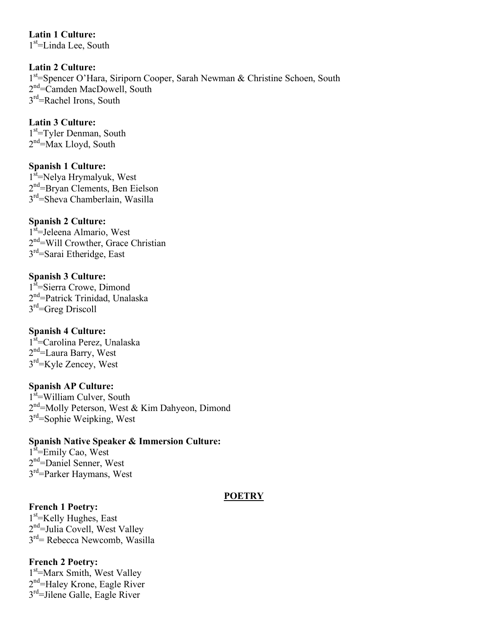**Latin 1 Culture:** 1<sup>st</sup>=Linda Lee, South

**Latin 2 Culture:** 1<sup>st</sup>=Spencer O'Hara, Siriporn Cooper, Sarah Newman & Christine Schoen, South 2<sup>nd</sup>=Camden MacDowell, South 3<sup>rd</sup>=Rachel Irons, South

#### **Latin 3 Culture:**

1<sup>st</sup>=Tyler Denman, South 2<sup>nd</sup>=Max Lloyd, South

## **Spanish 1 Culture:**

1<sup>st</sup>=Nelya Hrymalyuk, West 2<sup>nd</sup>=Bryan Clements, Ben Eielson 3rd=Sheva Chamberlain, Wasilla

#### **Spanish 2 Culture:**

1<sup>st</sup>=Jeleena Almario, West 2<sup>nd</sup>=Will Crowther, Grace Christian  $3<sup>rd</sup>=Sarai Ethernetedge, East$ 

## **Spanish 3 Culture:**

1<sup>st</sup>=Sierra Crowe, Dimond 2<sup>nd</sup>=Patrick Trinidad, Unalaska  $3<sup>rd</sup>=Greg Diris$ 

#### **Spanish 4 Culture:**

1<sup>st</sup>=Carolina Perez, Unalaska 2<sup>nd</sup>=Laura Barry, West 3<sup>rd</sup>=Kyle Zencey, West

#### **Spanish AP Culture:**

1<sup>st</sup>=William Culver, South 2<sup>nd</sup>=Molly Peterson, West & Kim Dahyeon, Dimond 3rd=Sophie Weipking, West

#### **Spanish Native Speaker & Immersion Culture:**

1<sup>st</sup>=Emily Cao, West 2<sup>nd</sup>=Daniel Senner, West 3rd=Parker Haymans, West

#### **POETRY**

**French 1 Poetry:**

1<sup>st</sup>=Kelly Hughes, East 2<sup>nd</sup>=Julia Covell, West Valley 3rd= Rebecca Newcomb, Wasilla

#### **French 2 Poetry:**

1<sup>st</sup>=Marx Smith, West Valley 2<sup>nd</sup>=Haley Krone, Eagle River 3rd=Jilene Galle, Eagle River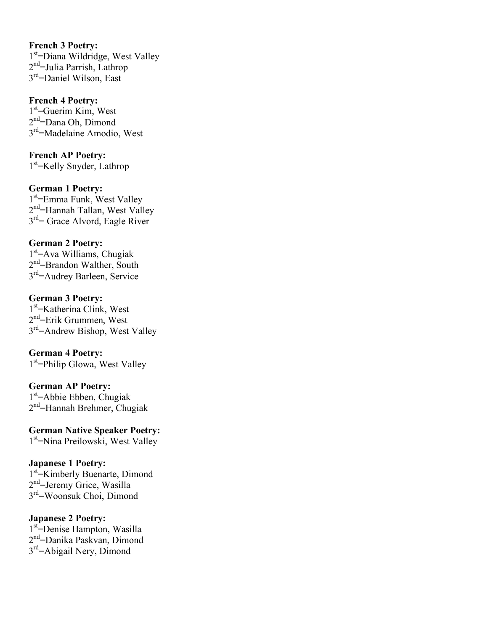**French 3 Poetry:** 1<sup>st</sup>=Diana Wildridge, West Valley 2<sup>nd</sup>=Julia Parrish, Lathrop 3<sup>rd</sup>=Daniel Wilson, East

#### **French 4 Poetry:**

1<sup>st</sup>=Guerim Kim, West 2<sup>nd</sup>=Dana Oh, Dimond 3rd=Madelaine Amodio, West

**French AP Poetry:** 1<sup>st</sup>=Kelly Snyder, Lathrop

#### **German 1 Poetry:**

1<sup>st</sup>=Emma Funk, West Valley 2<sup>nd</sup>=Hannah Tallan, West Valley 3rd= Grace Alvord, Eagle River

## **German 2 Poetry:**

1st =Ava Williams, Chugiak 2<sup>nd</sup>=Brandon Walther, South 3rd=Audrey Barleen, Service

#### **German 3 Poetry:**

1<sup>st</sup>=Katherina Clink, West 2<sup>nd</sup>=Erik Grummen, West 3<sup>rd</sup>=Andrew Bishop, West Valley

## **German 4 Poetry:**

1<sup>st</sup>=Philip Glowa, West Valley

# **German AP Poetry:**

1st =Abbie Ebben, Chugiak 2<sup>nd</sup>=Hannah Brehmer, Chugiak

# **German Native Speaker Poetry:**

1<sup>st</sup>=Nina Preilowski, West Valley

#### **Japanese 1 Poetry:**

1<sup>st</sup> Kimberly Buenarte, Dimond 2<sup>nd</sup>=Jeremy Grice, Wasilla 3rd=Woonsuk Choi, Dimond

## **Japanese 2 Poetry:**

1st =Denise Hampton, Wasilla 2<sup>nd</sup>=Danika Paskvan, Dimond 3<sup>rd</sup>=Abigail Nery, Dimond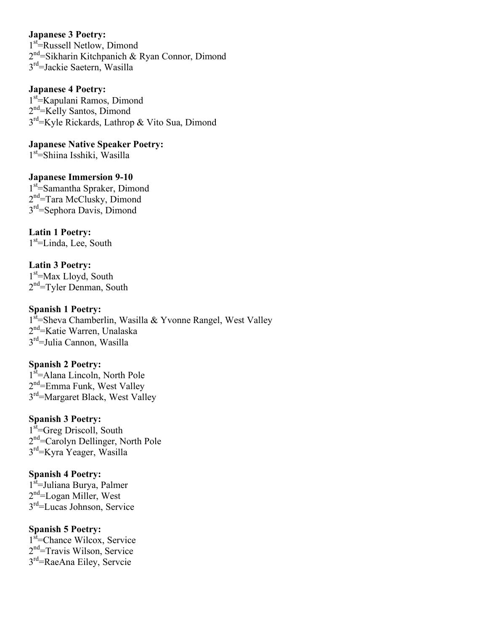#### **Japanese 3 Poetry:**

1<sup>st</sup>=Russell Netlow, Dimond 2<sup>nd</sup>=Sikharin Kitchpanich & Ryan Connor, Dimond 3rd=Jackie Saetern, Wasilla

**Japanese 4 Poetry:**

1<sup>st</sup> Kapulani Ramos, Dimond 2<sup>nd</sup>=Kelly Santos, Dimond 3<sup>rd</sup>=Kyle Rickards, Lathrop & Vito Sua, Dimond

**Japanese Native Speaker Poetry:** 1<sup>st</sup>=Shiina Isshiki, Wasilla

**Japanese Immersion 9-10** 1<sup>st</sup>=Samantha Spraker, Dimond 2<sup>nd</sup>=Tara McClusky, Dimond 3<sup>rd</sup>=Sephora Davis, Dimond

**Latin 1 Poetry:** 1st =Linda, Lee, South

**Latin 3 Poetry:** 1<sup>st</sup>=Max Lloyd, South  $2<sup>nd</sup>$ =Tyler Denman, South

**Spanish 1 Poetry:** 1<sup>st</sup>=Sheva Chamberlin, Wasilla & Yvonne Rangel, West Valley 2<sup>nd</sup>=Katie Warren, Unalaska 3<sup>rd</sup>=Julia Cannon, Wasilla

**Spanish 2 Poetry:** 1<sup>st</sup>=Alana Lincoln, North Pole 2<sup>nd</sup>=Emma Funk, West Valley 3rd=Margaret Black, West Valley

**Spanish 3 Poetry:** 1<sup>st</sup>=Greg Driscoll, South 2<sup>nd</sup>=Carolyn Dellinger, North Pole 3<sup>rd</sup>=Kyra Yeager, Wasilla

**Spanish 4 Poetry:** 1<sup>st</sup>=Juliana Burya, Palmer 2<sup>nd</sup>=Logan Miller, West 3rd=Lucas Johnson, Service

**Spanish 5 Poetry:** 1<sup>st</sup>=Chance Wilcox, Service 2<sup>nd</sup>=Travis Wilson, Service 3rd=RaeAna Eiley, Servcie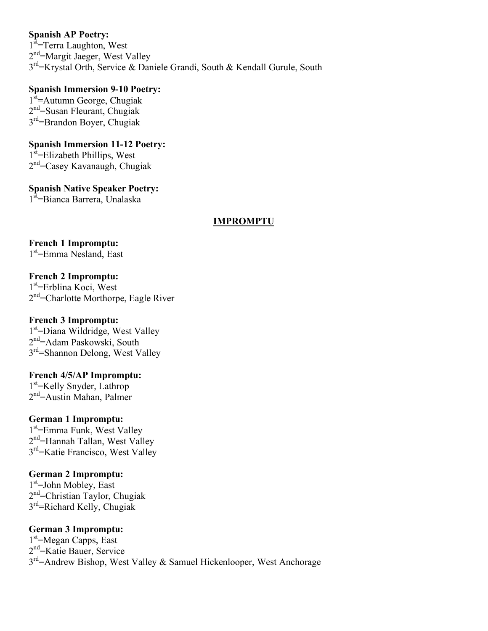## **Spanish AP Poetry:**

1<sup>st</sup>=Terra Laughton, West 2<sup>nd</sup>=Margit Jaeger, West Valley 3rd=Krystal Orth, Service & Daniele Grandi, South & Kendall Gurule, South

## **Spanish Immersion 9-10 Poetry:**

1<sup>st</sup>=Autumn George, Chugiak 2<sup>nd</sup>=Susan Fleurant, Chugiak  $3<sup>rd</sup>=B$ randon Boyer, Chugiak

#### **Spanish Immersion 11-12 Poetry:** 1<sup>st</sup>=Elizabeth Phillips, West

2<sup>nd</sup>=Casey Kavanaugh, Chugiak

# **Spanish Native Speaker Poetry:**

1<sup>st</sup>=Bianca Barrera, Unalaska

## **IMPROMPTU**

# **French 1 Impromptu:**

1<sup>st</sup>=Emma Nesland, East

## **French 2 Impromptu:**

1<sup>st</sup>=Erblina Koci, West 2<sup>nd</sup>=Charlotte Morthorpe, Eagle River

## **French 3 Impromptu:**

1<sup>st</sup>=Diana Wildridge, West Valley 2<sup>nd</sup>=Adam Paskowski, South 3rd=Shannon Delong, West Valley

## **French 4/5/AP Impromptu:**

1st =Kelly Snyder, Lathrop 2<sup>nd</sup>=Austin Mahan, Palmer

## **German 1 Impromptu:**

1<sup>st</sup>=Emma Funk, West Valley 2<sup>nd</sup>=Hannah Tallan, West Valley 3rd=Katie Francisco, West Valley

# **German 2 Impromptu:**

1<sup>st</sup>=John Mobley, East 2<sup>nd</sup>=Christian Taylor, Chugiak  $3<sup>rd</sup>$ =Richard Kelly, Chugiak

## **German 3 Impromptu:**

1<sup>st</sup>=Megan Capps, East 2<sup>nd</sup>=Katie Bauer, Service  $3<sup>rd</sup>$ =Andrew Bishop, West Valley & Samuel Hickenlooper, West Anchorage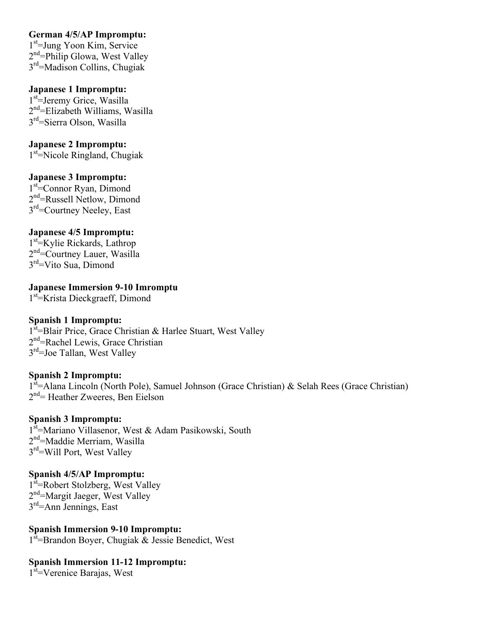## **German 4/5/AP Impromptu:**

1st =Jung Yoon Kim, Service 2<sup>nd</sup>=Philip Glowa, West Valley 3rd=Madison Collins, Chugiak

## **Japanese 1 Impromptu:**

1<sup>st</sup>=Jeremy Grice, Wasilla 2<sup>nd</sup>=Elizabeth Williams, Wasilla 3<sup>rd</sup>=Sierra Olson, Wasilla

### **Japanese 2 Impromptu:**

1<sup>st</sup>=Nicole Ringland, Chugiak

## **Japanese 3 Impromptu:**

1<sup>st</sup>=Connor Ryan, Dimond 2<sup>nd</sup>=Russell Netlow, Dimond 3<sup>rd</sup>=Courtney Neeley, East

## **Japanese 4/5 Impromptu:**

1<sup>st</sup>=Kylie Rickards, Lathrop 2<sup>nd</sup>=Courtney Lauer, Wasilla 3rd=Vito Sua, Dimond

**Japanese Immersion 9-10 Imromptu** 1<sup>st</sup> Krista Dieckgraeff, Dimond

## **Spanish 1 Impromptu:**

1<sup>st</sup>=Blair Price, Grace Christian & Harlee Stuart, West Valley 2<sup>nd</sup>=Rachel Lewis, Grace Christian 3rd=Joe Tallan, West Valley

#### **Spanish 2 Impromptu:**

1<sup>st</sup>=Alana Lincoln (North Pole), Samuel Johnson (Grace Christian) & Selah Rees (Grace Christian) 2<sup>nd</sup> = Heather Zweeres, Ben Eielson

#### **Spanish 3 Impromptu:**

1<sup>st</sup>=Mariano Villasenor, West & Adam Pasikowski, South 2<sup>nd</sup>=Maddie Merriam, Wasilla 3rd=Will Port, West Valley

# **Spanish 4/5/AP Impromptu:**

1<sup>st</sup>=Robert Stolzberg, West Valley 2<sup>nd</sup>=Margit Jaeger, West Valley 3rd=Ann Jennings, East

#### **Spanish Immersion 9-10 Impromptu:** 1<sup>st</sup>=Brandon Boyer, Chugiak & Jessie Benedict, West

# **Spanish Immersion 11-12 Impromptu:**

1<sup>st</sup>=Verenice Barajas, West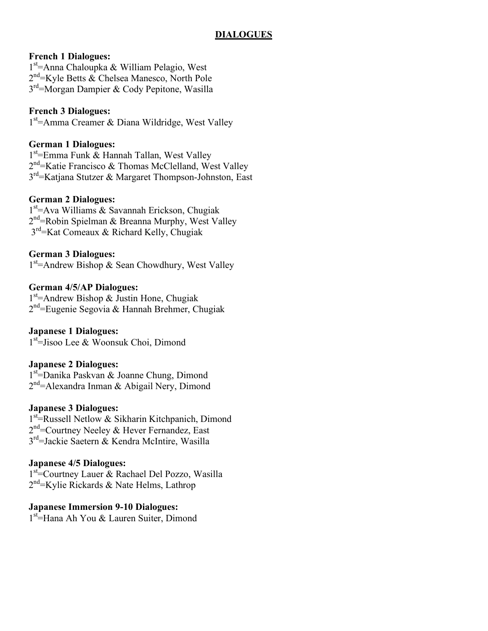## **DIALOGUES**

## **French 1 Dialogues:**

1<sup>st</sup>=Anna Chaloupka & William Pelagio, West 2<sup>nd</sup>=Kyle Betts & Chelsea Manesco, North Pole 3<sup>rd</sup>=Morgan Dampier & Cody Pepitone, Wasilla

## **French 3 Dialogues:**

1<sup>st</sup>=Amma Creamer & Diana Wildridge, West Valley

## **German 1 Dialogues:**

1<sup>st</sup> = Emma Funk & Hannah Tallan, West Valley 2<sup>nd</sup> = Katie Francisco & Thomas McClelland, West Valley 3rd=Katjana Stutzer & Margaret Thompson-Johnston, East

### **German 2 Dialogues:**

1st =Ava Williams & Savannah Erickson, Chugiak 2<sup>nd</sup> = Robin Spielman & Breanna Murphy, West Valley  $3<sup>rd</sup>$ =Kat Comeaux & Richard Kelly, Chugiak

### **German 3 Dialogues:**

1<sup>st</sup>=Andrew Bishop & Sean Chowdhury, West Valley

### **German 4/5/AP Dialogues:**

1<sup>st</sup>=Andrew Bishop & Justin Hone, Chugiak 2<sup>nd</sup>=Eugenie Segovia & Hannah Brehmer, Chugiak

#### **Japanese 1 Dialogues:**

1<sup>st</sup>=Jisoo Lee & Woonsuk Choi, Dimond

#### **Japanese 2 Dialogues:**

1<sup>st</sup>=Danika Paskvan & Joanne Chung, Dimond 2<sup>nd</sup>=Alexandra Inman & Abigail Nery, Dimond

#### **Japanese 3 Dialogues:**

1<sup>st</sup> Russell Netlow & Sikharin Kitchpanich, Dimond 2<sup>nd</sup>=Courtney Neeley & Hever Fernandez, East 3<sup>rd</sup>=Jackie Saetern & Kendra McIntire, Wasilla

## **Japanese 4/5 Dialogues:**

1<sup>st</sup>=Courtney Lauer & Rachael Del Pozzo, Wasilla 2<sup>nd</sup>=Kylie Rickards & Nate Helms, Lathrop

#### **Japanese Immersion 9-10 Dialogues:**

1<sup>st</sup>=Hana Ah You & Lauren Suiter, Dimond